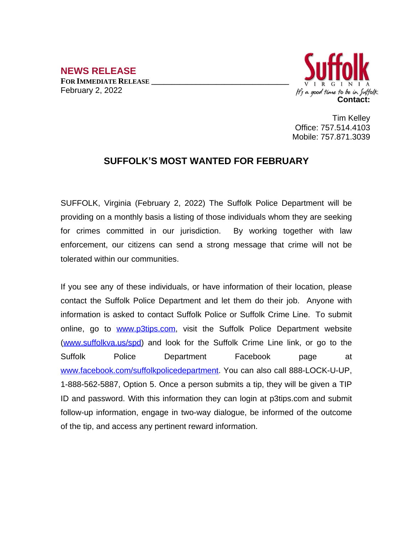**NEWS RELEASE FOR IMMEDIATE RELEASE \_\_\_\_\_\_\_\_\_\_\_\_\_\_\_\_\_\_\_\_\_\_\_\_\_\_\_\_\_\_\_\_\_\_** February 2, 2022



Tim Kelley Office: 757.514.4103 Mobile: 757.871.3039

## **SUFFOLK'S MOST WANTED FOR FEBRUARY**

SUFFOLK, Virginia (February 2, 2022) The Suffolk Police Department will be providing on a monthly basis a listing of those individuals whom they are seeking for crimes committed in our jurisdiction. By working together with law enforcement, our citizens can send a strong message that crime will not be tolerated within our communities.

If you see any of these individuals, or have information of their location, please contact the Suffolk Police Department and let them do their job. Anyone with information is asked to contact Suffolk Police or Suffolk Crime Line. To submit online, go to [www.p3tips.com](http://www.p3tips.com), visit the Suffolk Police Department website ([www.suffolkva.us/spd](http://www.suffolkva.us/spd)) and look for the Suffolk Crime Line link, or go to the Suffolk Police Department Facebook page at [www.facebook.com/suffolkpolicedepartment](http://www.facebook.com/suffolkpolicedepartment). You can also call 888-LOCK-U-UP, 1-888-562-5887, Option 5. Once a person submits a tip, they will be given a TIP ID and password. With this information they can login at p3tips.com and submit follow-up information, engage in two-way dialogue, be informed of the outcome of the tip, and access any pertinent reward information.